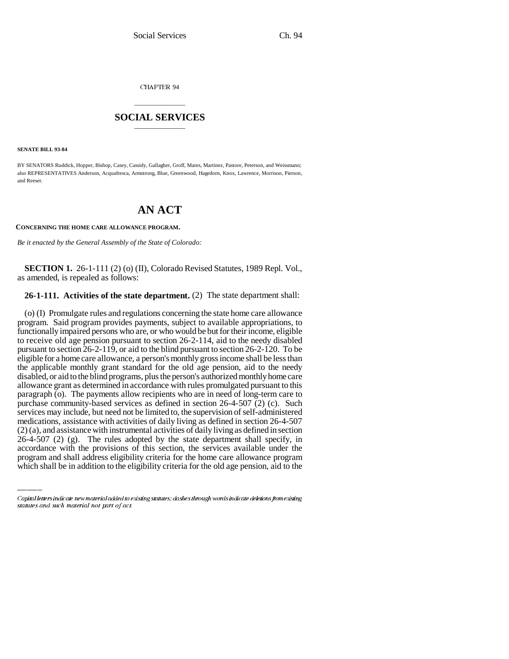CHAPTER 94

## \_\_\_\_\_\_\_\_\_\_\_\_\_\_\_ **SOCIAL SERVICES** \_\_\_\_\_\_\_\_\_\_\_\_\_\_\_

**SENATE BILL 93-84**

BY SENATORS Ruddick, Hopper, Bishop, Casey, Cassidy, Gallagher, Groff, Mares, Martinez, Pastore, Peterson, and Weissmann; also REPRESENTATIVES Anderson, Acquafresca, Armstrong, Blue, Greenwood, Hagedorn, Knox, Lawrence, Morrison, Pierson, and Reeser.

## **AN ACT**

**CONCERNING THE HOME CARE ALLOWANCE PROGRAM.**

*Be it enacted by the General Assembly of the State of Colorado:*

**SECTION 1.** 26-1-111 (2) (o) (II), Colorado Revised Statutes, 1989 Repl. Vol., as amended, is repealed as follows:

## **26-1-111. Activities of the state department.** (2) The state department shall:

 $(2)$  (a), and assistance with instrumental activities of daily living as defined in section  $(2)$  (a), and assistance with instrumental activities of daily living as defined in section (o) (I) Promulgate rules and regulations concerning the state home care allowance program. Said program provides payments, subject to available appropriations, to functionally impaired persons who are, or who would be but for their income, eligible to receive old age pension pursuant to section 26-2-114, aid to the needy disabled pursuant to section 26-2-119, or aid to the blind pursuant to section 26-2-120. To be eligible for a home care allowance, a person's monthly gross income shall be less than the applicable monthly grant standard for the old age pension, aid to the needy disabled, or aid to the blind programs, plus the person's authorized monthly home care allowance grant as determined in accordance with rules promulgated pursuant to this paragraph (o). The payments allow recipients who are in need of long-term care to purchase community-based services as defined in section 26-4-507 (2) (c). Such services may include, but need not be limited to, the supervision of self-administered medications, assistance with activities of daily living as defined in section 26-4-507 26-4-507 (2) (g). The rules adopted by the state department shall specify, in accordance with the provisions of this section, the services available under the program and shall address eligibility criteria for the home care allowance program which shall be in addition to the eligibility criteria for the old age pension, aid to the

Capital letters indicate new material added to existing statutes; dashes through words indicate deletions from existing statutes and such material not part of act.